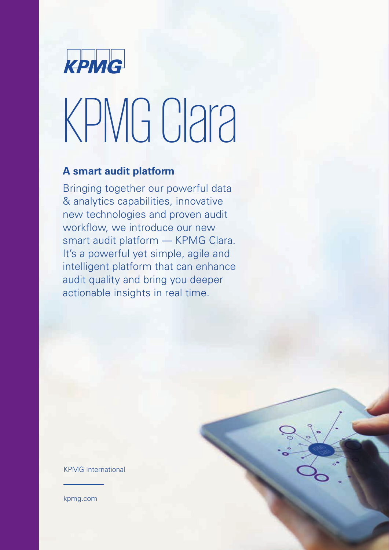

# KPMG Clara

### **A smart audit platform**

Bringing together our powerful data & analytics capabilities, innovative new technologies and proven audit workflow, we introduce our new smart audit platform — KPMG Clara. It's a powerful yet simple, agile and intelligent platform that can enhance audit quality and bring you deeper actionable insights in real time.

KPMG International

[kpmg.com](www.kpmg.com)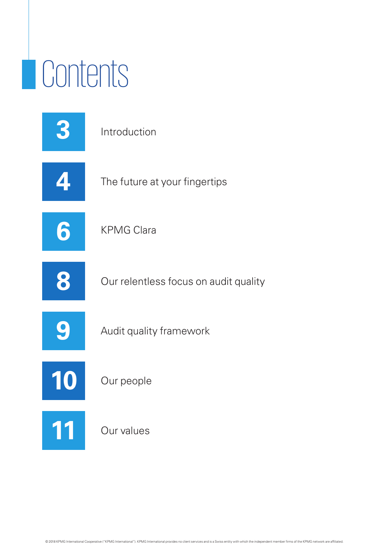# Contents

|    | Introduction                          |
|----|---------------------------------------|
|    | The future at your fingertips         |
| 6  | <b>KPMG Clara</b>                     |
| 8  | Our relentless focus on audit quality |
| 9  | Audit quality framework               |
| 10 | Our people                            |
|    | Our values                            |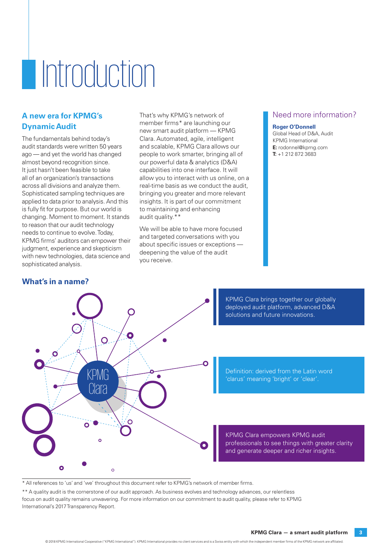# **Introduction**

#### **A new era for KPMG's Dynamic Audit**

The fundamentals behind today's audit standards were written 50 years ago — and yet the world has changed almost beyond recognition since. It just hasn't been feasible to take all of an organization's transactions across all divisions and analyze them. Sophisticated sampling techniques are applied to data prior to analysis. And this is fully fit for purpose. But our world is changing. Moment to moment. It stands to reason that our audit technology needs to continue to evolve. Today, KPMG firms' auditors can empower their judgment, experience and skepticism with new technologies, data science and sophisticated analysis.

That's why KPMG's network of member firms\* are launching our new smart audit platform — KPMG Clara. Automated, agile, intelligent and scalable, KPMG Clara allows our people to work smarter, bringing all of our powerful data & analytics (D&A) capabilities into one interface. It will allow you to interact with us online, on a real-time basis as we conduct the audit, bringing you greater and more relevant insights. It is part of our commitment to maintaining and enhancing audit quality.\*\*

We will be able to have more focused and targeted conversations with you about specific issues or exceptions deepening the value of the audit you receive.

#### Need more information?

#### **Roger O'Donnell**

Global Head of D&A, Audit KPMG International **E:** rodonnel@kpmg.com **T:** +1 212 872 3683



KPMG Clara brings together our globally deployed audit platform, advanced D&A solutions and future innovations.

Definition: derived from the Latin word 'clarus' meaning 'bright' or 'clear'.

KPMG Clara empowers KPMG audit professionals to see things with greater clarity and generate deeper and richer insights.

\* All references to 'us' and 'we' throughout this document refer to KPMG's network of member firms.

\*\* A quality audit is the cornerstone of our audit approach. As business evolves and technology advances, our relentless focus on audit quality remains unwavering. For more information on our commitment to audit quality, please refer to KPMG International's [2017 Transparency Report.](https://assets.kpmg.com/content/dam/kpmg/xx/pdf/2017/12/transparency-report-2017.pdf)

#### **What's in a name?**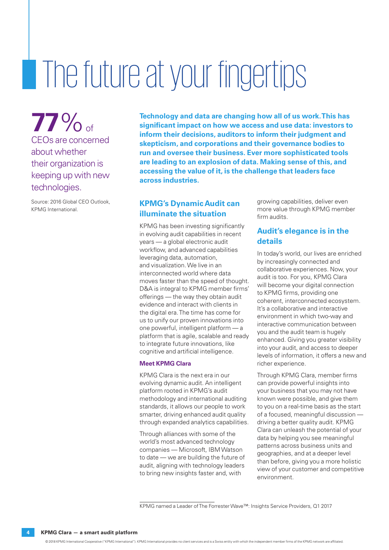# The future at your fingertips

**77**% of CEOs are concerned about whether their organization is keeping up with new technologies.

Source: 2016 Global CEO Outlook, KPMG International.

**Technology and data are changing how all of us work. This has significant impact on how we access and use data: investors to inform their decisions, auditors to inform their judgment and skepticism, and corporations and their governance bodies to run and oversee their business. Ever more sophisticated tools are leading to an explosion of data. Making sense of this, and accessing the value of it, is the challenge that leaders face across industries.**

#### **KPMG's Dynamic Audit can illuminate the situation**

KPMG has been investing significantly in evolving audit capabilities in recent years — a global electronic audit workflow, and advanced capabilities leveraging data, automation, and visualization. We live in an interconnected world where data moves faster than the speed of thought. D&A is integral to KPMG member firms' offerings — the way they obtain audit evidence and interact with clients in the digital era. The time has come for us to unify our proven innovations into one powerful, intelligent platform — a platform that is agile, scalable and ready to integrate future innovations, like cognitive and artificial intelligence.

#### **Meet KPMG Clara**

KPMG Clara is the next era in our evolving dynamic audit. An intelligent platform rooted in KPMG's audit methodology and international auditing standards, it allows our people to work smarter, driving enhanced audit quality through expanded analytics capabilities.

Through alliances with some of the world's most advanced technology companies — Microsoft, IBM Watson to date — we are building the future of audit, aligning with technology leaders to bring new insights faster and, with

growing capabilities, deliver even more value through KPMG member firm audits.

#### **Audit's elegance is in the details**

In today's world, our lives are enriched by increasingly connected and collaborative experiences. Now, your audit is too. For you, KPMG Clara will become your digital connection to KPMG firms, providing one coherent, interconnected ecosystem. It's a collaborative and interactive environment in which two-way and interactive communication between you and the audit team is hugely enhanced. Giving you greater visibility into your audit, and access to deeper levels of information, it offers a new and richer experience.

Through KPMG Clara, member firms can provide powerful insights into your business that you may not have known were possible, and give them to you on a real-time basis as the start of a focused, meaningful discussion driving a better quality audit. KPMG Clara can unleash the potential of your data by helping you see meaningful patterns across business units and geographies, and at a deeper level than before, giving you a more holistic view of your customer and competitive environment.

[KPMG named a Leader of The Forrester Wave™: Insights Service Providers, Q1 2017](https://home.kpmg.com/xx/en/home/media/press-releases/2017/02/kpmg-named-a-leader-cited-for-its-data-and-analytics-capabilities.html)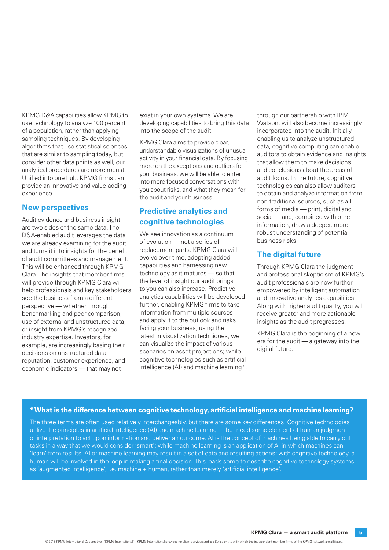KPMG D&A capabilities allow KPMG to use technology to analyze 100 percent of a population, rather than applying sampling techniques. By developing algorithms that use statistical sciences that are similar to sampling today, but consider other data points as well, our analytical procedures are more robust. Unified into one hub, KPMG firms can provide an innovative and value-adding experience.

#### **New perspectives**

Audit evidence and business insight are two sides of the same data. The D&A-enabled audit leverages the data we are already examining for the audit and turns it into insights for the benefit of audit committees and management. This will be enhanced through KPMG Clara. The insights that member firms will provide through KPMG Clara will help professionals and key stakeholders see the business from a different perspective — whether through benchmarking and peer comparison, use of external and unstructured data, or insight from KPMG's recognized industry expertise. Investors, for example, are increasingly basing their decisions on unstructured data reputation, customer experience, and economic indicators — that may not

exist in your own systems. We are developing capabilities to bring this data into the scope of the audit.

KPMG Clara aims to provide clear, understandable visualizations of unusual activity in your financial data. By focusing more on the exceptions and outliers for your business, we will be able to enter into more focused conversations with you about risks, and what they mean for the audit and your business.

#### **Predictive analytics and cognitive technologies**

We see innovation as a continuum of evolution — not a series of replacement parts. KPMG Clara will evolve over time, adopting added capabilities and harnessing new technology as it matures — so that the level of insight our audit brings to you can also increase. Predictive analytics capabilities will be developed further, enabling KPMG firms to take information from multiple sources and apply it to the outlook and risks facing your business; using the latest in visualization techniques, we can visualize the impact of various scenarios on asset projections; while cognitive technologies such as artificial intelligence (AI) and machine learning\*,

through our partnership with IBM Watson, will also become increasingly incorporated into the audit. Initially enabling us to analyze unstructured data, cognitive computing can enable auditors to obtain evidence and insights that allow them to make decisions and conclusions about the areas of audit focus. In the future, cognitive technologies can also allow auditors to obtain and analyze information from non-traditional sources, such as all forms of media — print, digital and social — and, combined with other information, draw a deeper, more robust understanding of potential business risks.

#### **The digital future**

Through KPMG Clara the judgment and professional skepticism of KPMG's audit professionals are now further empowered by intelligent automation and innovative analytics capabilities. Along with higher audit quality, you will receive greater and more actionable insights as the audit progresses.

KPMG Clara is the beginning of a new era for the audit — a gateway into the digital future.

#### **\* What is the difference between cognitive technology, artificial intelligence and machine learning?**

The three terms are often used relatively interchangeably, but there are some key differences. Cognitive technologies utilize the principles in artificial intelligence (AI) and machine learning — but need some element of human judgment or interpretation to act upon information and deliver an outcome. AI is the concept of machines being able to carry out tasks in a way that we would consider 'smart'; while machine learning is an application of AI in which machines can 'learn' from results. AI or machine learning may result in a set of data and resulting actions; with cognitive technology, a human will be involved in the loop in making a final decision. This leads some to describe cognitive technology systems as 'augmented intelligence', i.e. machine + human, rather than merely 'artificial intelligence'.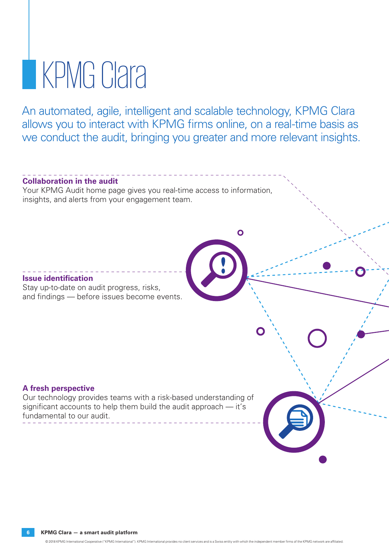## **KPMG Clara**

An automated, agile, intelligent and scalable technology, KPMG Clara allows you to interact with KPMG firms online, on a real-time basis as we conduct the audit, bringing you greater and more relevant insights.

 $\overline{O}$ 

#### **Collaboration in the audit**

Your KPMG Audit home page gives you real-time access to information, insights, and alerts from your engagement team.

#### **Issue identification**

Stay up-to-date on audit progress, risks, and findings — before issues become events.

#### **A fresh perspective**

Our technology provides teams with a risk-based understanding of significant accounts to help them build the audit approach — it's fundamental to our audit.

**6 KPMG Clara — a smart audit platform**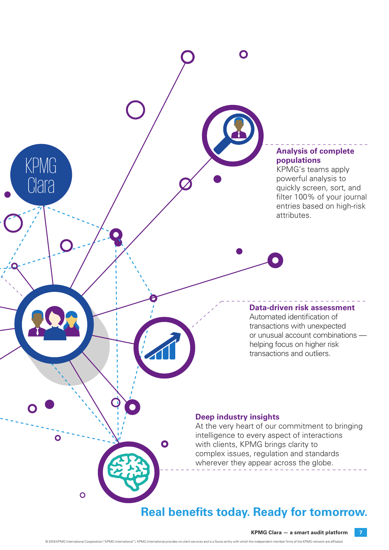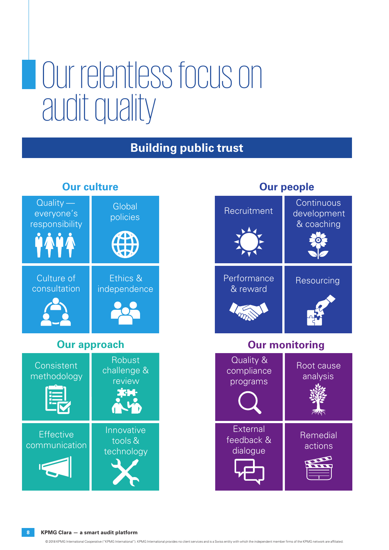### Our relentless focus on audit quality

### **Building public trust**



### **Our culture**

### **Our people**

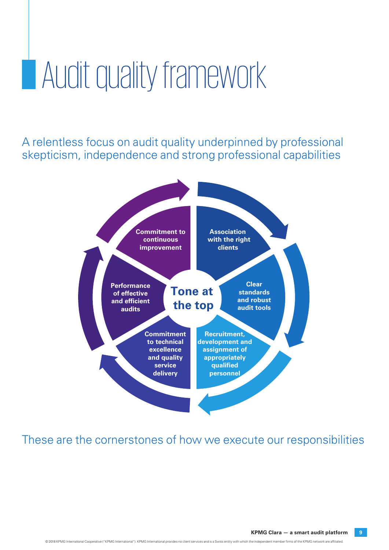### **Audit quality framework**

A relentless focus on audit quality underpinned by professional skepticism, independence and strong professional capabilities



### These are the cornerstones of how we execute our responsibilities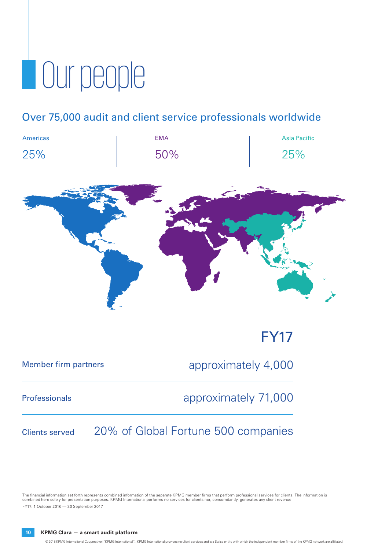# **Our people**

### Over 75,000 audit and client service professionals worldwide

| <b>Americas</b> | <b>EMA</b> | <b>Asia Pacific</b> |
|-----------------|------------|---------------------|
| 25%             | 50%        | 25%                 |



| <b>Member firm partners</b> | approximately 4,000                 |
|-----------------------------|-------------------------------------|
| <b>Professionals</b>        | approximately 71,000                |
| <b>Clients served</b>       | 20% of Global Fortune 500 companies |

The financial information set forth represents combined information of the separate KPMG member firms that perform professional services for clients. The information is<br>combined here solely for presentation purposes. KPMG FY17: 1 October 2016 — 30 September 2017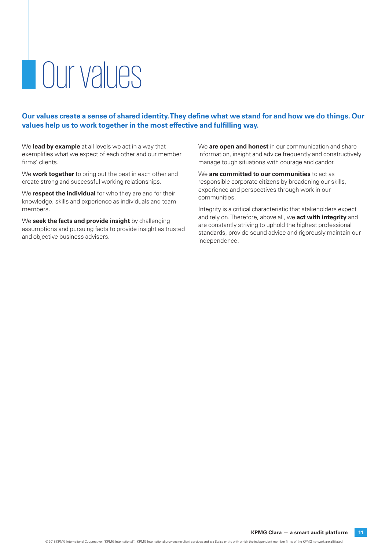# Our values

**Our values create a sense of shared identity. They define what we stand for and how we do things. Our values help us to work together in the most effective and fulfilling way.**

We **lead by example** at all levels we act in a way that exemplifies what we expect of each other and our member firms' clients.

We **work together** to bring out the best in each other and create strong and successful working relationships.

We **respect the individual** for who they are and for their knowledge, skills and experience as individuals and team members.

We **seek the facts and provide insight** by challenging assumptions and pursuing facts to provide insight as trusted and objective business advisers.

We **are open and honest** in our communication and share information, insight and advice frequently and constructively manage tough situations with courage and candor.

We **are committed to our communities** to act as responsible corporate citizens by broadening our skills, experience and perspectives through work in our communities.

Integrity is a critical characteristic that stakeholders expect and rely on. Therefore, above all, we **act with integrity** and are constantly striving to uphold the highest professional standards, provide sound advice and rigorously maintain our independence.